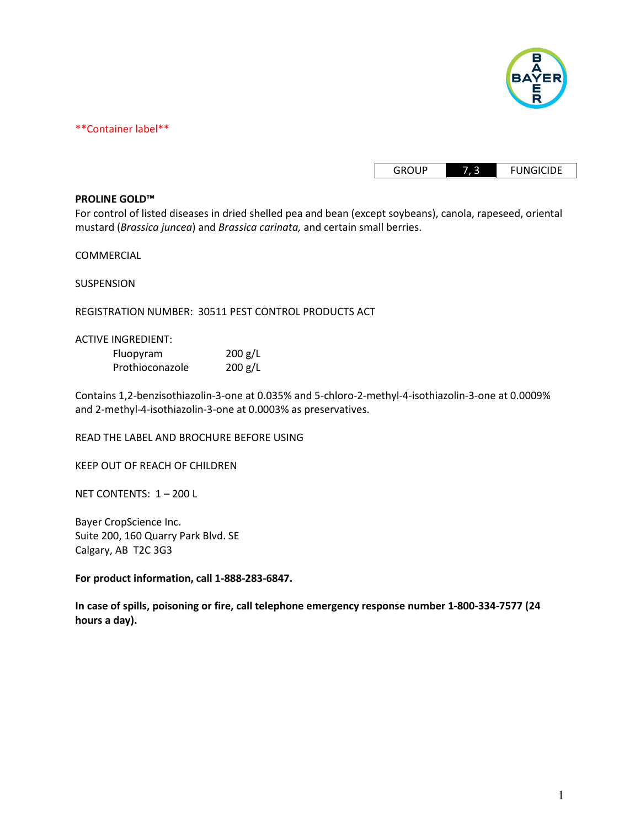

\*\*Container label\*\*

| GROUP | <b>FUNGICIDE</b> |
|-------|------------------|

#### **PROLINE GOLD™**

For control of listed diseases in dried shelled pea and bean (except soybeans), canola, rapeseed, oriental mustard (*Brassica juncea*) and *Brassica carinata,* and certain small berries.

COMMERCIAL

SUSPENSION

REGISTRATION NUMBER: 30511 PEST CONTROL PRODUCTS ACT

#### ACTIVE INGREDIENT:

| Fluopyram       | 200 g/L |
|-----------------|---------|
| Prothioconazole | 200 g/L |

Contains 1,2-benzisothiazolin-3-one at 0.035% and 5-chloro-2-methyl-4-isothiazolin-3-one at 0.0009% and 2-methyl-4-isothiazolin-3-one at 0.0003% as preservatives.

READ THE LABEL AND BROCHURE BEFORE USING

KEEP OUT OF REACH OF CHILDREN

NET CONTENTS: 1 – 200 L

Bayer CropScience Inc. Suite 200, 160 Quarry Park Blvd. SE Calgary, AB T2C 3G3

**For product information, call 1-888-283-6847.**

**In case of spills, poisoning or fire, call telephone emergency response number 1-800-334-7577 (24 hours a day).**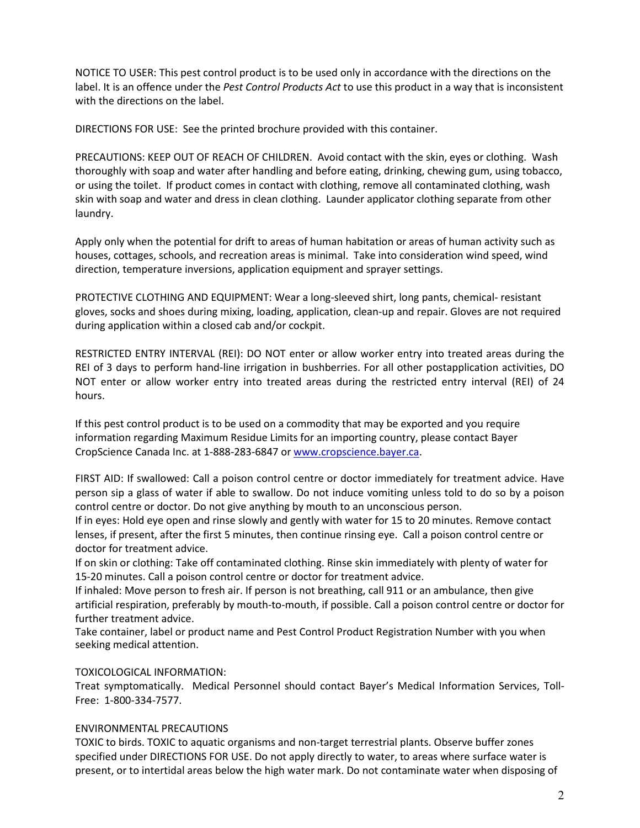NOTICE TO USER: This pest control product is to be used only in accordance with the directions on the label. It is an offence under the *Pest Control Products Act* to use this product in a way that is inconsistent with the directions on the label.

DIRECTIONS FOR USE: See the printed brochure provided with this container.

PRECAUTIONS: KEEP OUT OF REACH OF CHILDREN. Avoid contact with the skin, eyes or clothing. Wash thoroughly with soap and water after handling and before eating, drinking, chewing gum, using tobacco, or using the toilet. If product comes in contact with clothing, remove all contaminated clothing, wash skin with soap and water and dress in clean clothing. Launder applicator clothing separate from other laundry.

Apply only when the potential for drift to areas of human habitation or areas of human activity such as houses, cottages, schools, and recreation areas is minimal. Take into consideration wind speed, wind direction, temperature inversions, application equipment and sprayer settings.

PROTECTIVE CLOTHING AND EQUIPMENT: Wear a long-sleeved shirt, long pants, chemical- resistant gloves, socks and shoes during mixing, loading, application, clean-up and repair. Gloves are not required during application within a closed cab and/or cockpit.

RESTRICTED ENTRY INTERVAL (REI): DO NOT enter or allow worker entry into treated areas during the REI of 3 days to perform hand-line irrigation in bushberries. For all other postapplication activities, DO NOT enter or allow worker entry into treated areas during the restricted entry interval (REI) of 24 hours.

If this pest control product is to be used on a commodity that may be exported and you require information regarding Maximum Residue Limits for an importing country, please contact Bayer CropScience Canada Inc. at 1-888-283-6847 or www.cropscience.bayer.ca.

FIRST AID: If swallowed: Call a poison control centre or doctor immediately for treatment advice. Have person sip a glass of water if able to swallow. Do not induce vomiting unless told to do so by a poison control centre or doctor. Do not give anything by mouth to an unconscious person.

If in eyes: Hold eye open and rinse slowly and gently with water for 15 to 20 minutes. Remove contact lenses, if present, after the first 5 minutes, then continue rinsing eye. Call a poison control centre or doctor for treatment advice.

If on skin or clothing: Take off contaminated clothing. Rinse skin immediately with plenty of water for 15-20 minutes. Call a poison control centre or doctor for treatment advice.

If inhaled: Move person to fresh air. If person is not breathing, call 911 or an ambulance, then give artificial respiration, preferably by mouth-to-mouth, if possible. Call a poison control centre or doctor for further treatment advice.

Take container, label or product name and Pest Control Product Registration Number with you when seeking medical attention.

## TOXICOLOGICAL INFORMATION:

Treat symptomatically. Medical Personnel should contact Bayer's Medical Information Services, Toll-Free: 1-800-334-7577.

#### ENVIRONMENTAL PRECAUTIONS

TOXIC to birds. TOXIC to aquatic organisms and non-target terrestrial plants. Observe buffer zones specified under DIRECTIONS FOR USE. Do not apply directly to water, to areas where surface water is present, or to intertidal areas below the high water mark. Do not contaminate water when disposing of water, to areas where surface water is specified under DIRECTIONS FOR USE. Do not apply directly to water, to areas where surface water is streams, and springs will reduce the potential for contamination of water from rainfall-runoff. Runoff of this product will be reduced by avoiding applications when rainfall is forecasted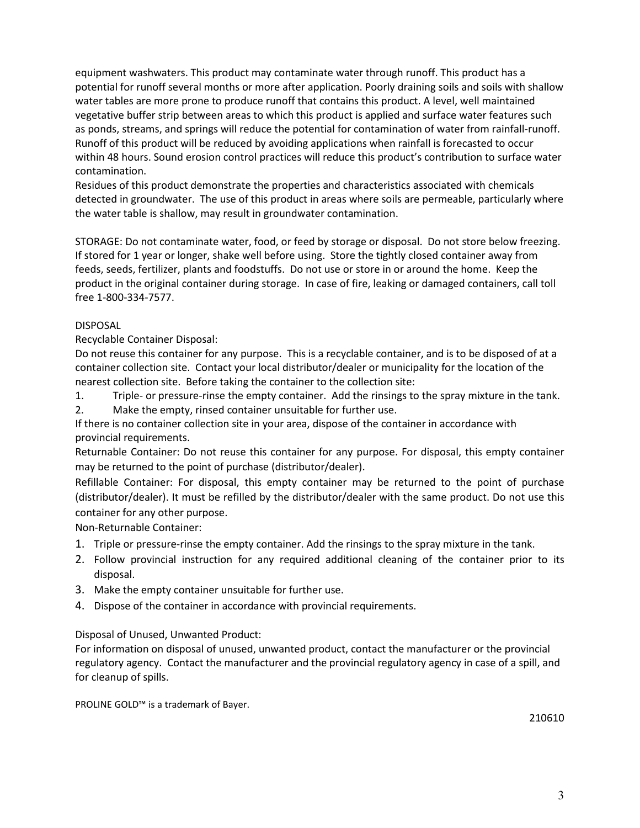equipment washwaters. This product may contaminate water through runoff. This product has a potential for runoff several months or more after application. Poorly draining soils and soils with shallow water tables are more prone to produce runoff that contains this product. A level, well maintained vegetative buffer strip between areas to which this product is applied and surface water features such as ponds, streams, and springs will reduce the potential for contamination of water from rainfall-runoff. Runoff of this product will be reduced by avoiding applications when rainfall is forecasted to occur within 48 hours. Sound erosion control practices will reduce this product's contribution to surface water contamination.

Residues of this product demonstrate the properties and characteristics associated with chemicals detected in groundwater. The use of this product in areas where soils are permeable, particularly where the water table is shallow, may result in groundwater contamination.

STORAGE: Do not contaminate water, food, or feed by storage or disposal. Do not store below freezing. If stored for 1 year or longer, shake well before using. Store the tightly closed container away from feeds, seeds, fertilizer, plants and foodstuffs. Do not use or store in or around the home. Keep the product in the original container during storage. In case of fire, leaking or damaged containers, call toll free 1-800-334-7577.

## DISPOSAL

Recyclable Container Disposal:

Do not reuse this container for any purpose. This is a recyclable container, and is to be disposed of at a container collection site. Contact your local distributor/dealer or municipality for the location of the nearest collection site. Before taking the container to the collection site:

- 1. Triple- or pressure-rinse the empty container. Add the rinsings to the spray mixture in the tank.
- 2. Make the empty, rinsed container unsuitable for further use.

If there is no container collection site in your area, dispose of the container in accordance with provincial requirements.

Returnable Container: Do not reuse this container for any purpose. For disposal, this empty container may be returned to the point of purchase (distributor/dealer).

Refillable Container: For disposal, this empty container may be returned to the point of purchase (distributor/dealer). It must be refilled by the distributor/dealer with the same product. Do not use this container for any other purpose.

## Non-Returnable Container:

- 1. Triple or pressure-rinse the empty container. Add the rinsings to the spray mixture in the tank.
- 2. Follow provincial instruction for any required additional cleaning of the container prior to its disposal.
- 3. Make the empty container unsuitable for further use.
- 4. Dispose of the container in accordance with provincial requirements.

## Disposal of Unused, Unwanted Product:

For information on disposal of unused, unwanted product, contact the manufacturer or the provincial regulatory agency. Contact the manufacturer and the provincial regulatory agency in case of a spill, and for cleanup of spills.

PROLINE GOLD™ is a trademark of Bayer.

210610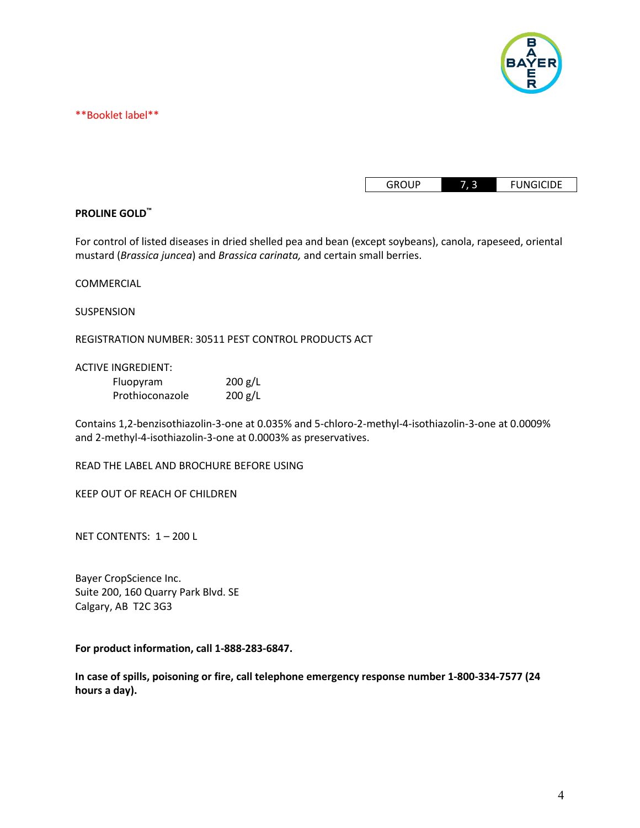

\*\*Booklet label\*\*

| <b>GROUP</b> |  | <b>FUNGICIDE</b> |
|--------------|--|------------------|
|--------------|--|------------------|

## **PROLINE GOLD™**

For control of listed diseases in dried shelled pea and bean (except soybeans), canola, rapeseed, oriental mustard (*Brassica juncea*) and *Brassica carinata,* and certain small berries.

COMMERCIAL

SUSPENSION

REGISTRATION NUMBER: 30511 PEST CONTROL PRODUCTS ACT

ACTIVE INGREDIENT:

| Fluopyram       | 200 g/L |
|-----------------|---------|
| Prothioconazole | 200 g/L |

Contains 1,2-benzisothiazolin-3-one at 0.035% and 5-chloro-2-methyl-4-isothiazolin-3-one at 0.0009% and 2-methyl-4-isothiazolin-3-one at 0.0003% as preservatives.

READ THE LABEL AND BROCHURE BEFORE USING

KEEP OUT OF REACH OF CHILDREN

NET CONTENTS: 1 – 200 L

Bayer CropScience Inc. Suite 200, 160 Quarry Park Blvd. SE Calgary, AB T2C 3G3

**For product information, call 1-888-283-6847.**

**In case of spills, poisoning or fire, call telephone emergency response number 1-800-334-7577 (24 hours a day).**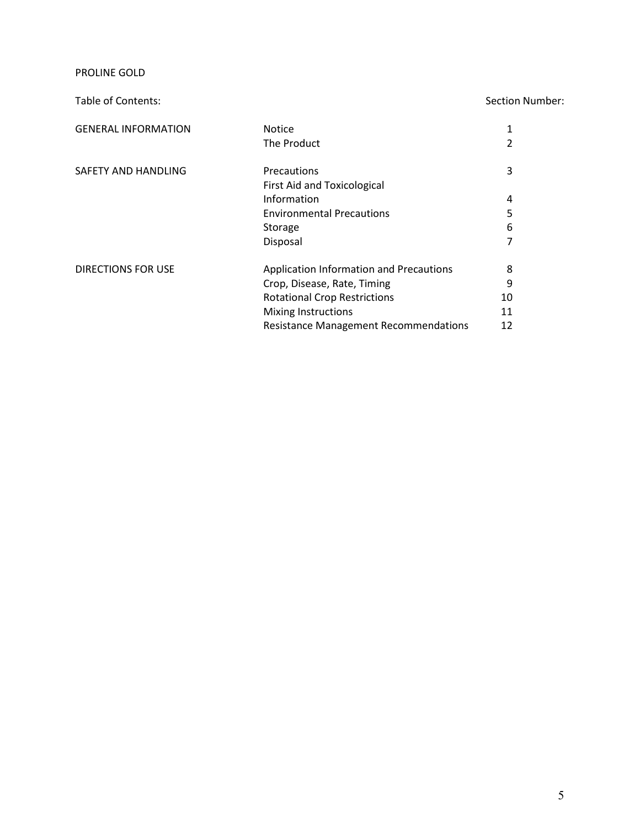PROLINE GOLD

## Table of Contents: Section Number:

| <b>GENERAL INFORMATION</b> | <b>Notice</b>                                |    |
|----------------------------|----------------------------------------------|----|
|                            | The Product                                  |    |
| SAFETY AND HANDLING        | Precautions                                  | 3  |
|                            | <b>First Aid and Toxicological</b>           |    |
|                            | Information                                  | 4  |
|                            | <b>Environmental Precautions</b>             | 5  |
|                            | Storage                                      | 6  |
|                            | Disposal                                     |    |
| <b>DIRECTIONS FOR USE</b>  | Application Information and Precautions      | 8  |
|                            | Crop, Disease, Rate, Timing                  | 9  |
|                            | <b>Rotational Crop Restrictions</b>          | 10 |
|                            | <b>Mixing Instructions</b>                   | 11 |
|                            | <b>Resistance Management Recommendations</b> | 12 |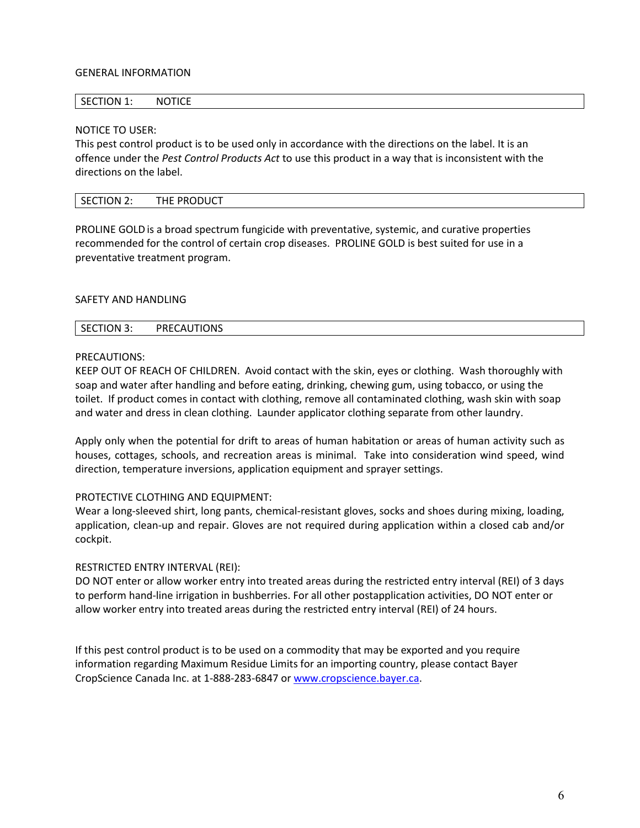## GENERAL INFORMATION

#### SECTION 1: NOTICE

#### NOTICE TO USER:

This pest control product is to be used only in accordance with the directions on the label. It is an offence under the *Pest Control Products Act* to use this product in a way that is inconsistent with the directions on the label.

| THE PRODUCT<br>SECTION 2: |
|---------------------------|
|---------------------------|

PROLINE GOLD is a broad spectrum fungicide with preventative, systemic, and curative properties recommended for the control of certain crop diseases. PROLINE GOLD is best suited for use in a preventative treatment program.

#### SAFETY AND HANDLING

| PRECAUTIONS<br><b>SECTION 3</b><br><u>.</u><br>______ |
|-------------------------------------------------------|
|-------------------------------------------------------|

## PRECAUTIONS:

KEEP OUT OF REACH OF CHILDREN. Avoid contact with the skin, eyes or clothing. Wash thoroughly with soap and water after handling and before eating, drinking, chewing gum, using tobacco, or using the toilet. If product comes in contact with clothing, remove all contaminated clothing, wash skin with soap and water and dress in clean clothing. Launder applicator clothing separate from other laundry.

Apply only when the potential for drift to areas of human habitation or areas of human activity such as houses, cottages, schools, and recreation areas is minimal. Take into consideration wind speed, wind direction, temperature inversions, application equipment and sprayer settings.

## PROTECTIVE CLOTHING AND EQUIPMENT:

Wear a long-sleeved shirt, long pants, chemical-resistant gloves, socks and shoes during mixing, loading, application, clean-up and repair. Gloves are not required during application within a closed cab and/or cockpit.

#### RESTRICTED ENTRY INTERVAL (REI):

DO NOT enter or allow worker entry into treated areas during the restricted entry interval (REI) of 3 days to perform hand-line irrigation in bushberries. For all other postapplication activities, DO NOT enter or allow worker entry into treated areas during the restricted entry interval (REI) of 24 hours.

If this pest control product is to be used on a commodity that may be exported and you require information regarding Maximum Residue Limits for an importing country, please contact Bayer CropScience Canada Inc. at 1-888-283-6847 or www.cropscience.bayer.ca.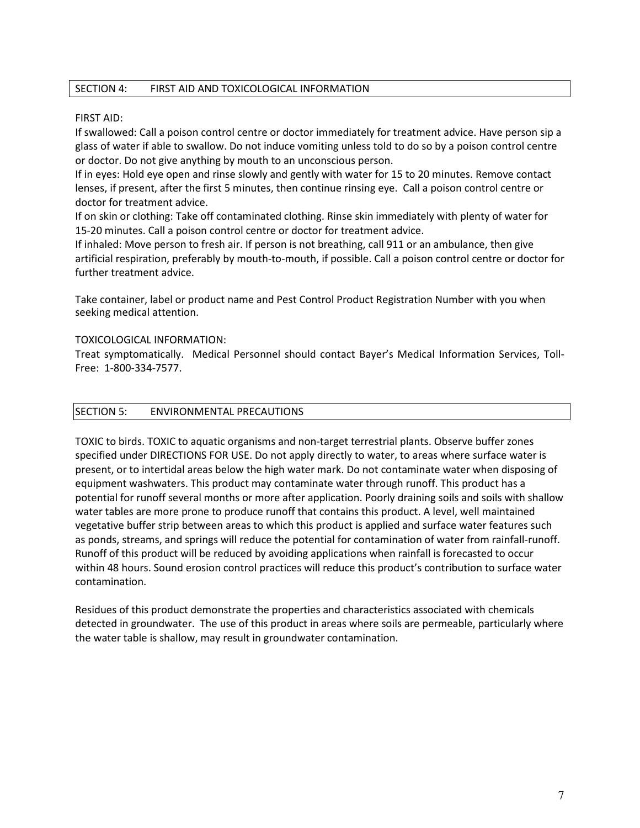## SECTION 4: FIRST AID AND TOXICOLOGICAL INFORMATION

## FIRST AID:

If swallowed: Call a poison control centre or doctor immediately for treatment advice. Have person sip a glass of water if able to swallow. Do not induce vomiting unless told to do so by a poison control centre or doctor. Do not give anything by mouth to an unconscious person.

If in eyes: Hold eye open and rinse slowly and gently with water for 15 to 20 minutes. Remove contact lenses, if present, after the first 5 minutes, then continue rinsing eye. Call a poison control centre or doctor for treatment advice.

If on skin or clothing: Take off contaminated clothing. Rinse skin immediately with plenty of water for 15-20 minutes. Call a poison control centre or doctor for treatment advice.

If inhaled: Move person to fresh air. If person is not breathing, call 911 or an ambulance, then give artificial respiration, preferably by mouth-to-mouth, if possible. Call a poison control centre or doctor for further treatment advice.

Take container, label or product name and Pest Control Product Registration Number with you when seeking medical attention.

## TOXICOLOGICAL INFORMATION:

Treat symptomatically. Medical Personnel should contact Bayer's Medical Information Services, Toll-Free: 1-800-334-7577.

## SECTION 5: ENVIRONMENTAL PRECAUTIONS

TOXIC to birds. TOXIC to aquatic organisms and non-target terrestrial plants. Observe buffer zones specified under DIRECTIONS FOR USE. Do not apply directly to water, to areas where surface water is present, or to intertidal areas below the high water mark. Do not contaminate water when disposing of equipment washwaters. This product may contaminate water through runoff. This product has a potential for runoff several months or more after application. Poorly draining soils and soils with shallow water tables are more prone to produce runoff that contains this product. A level, well maintained vegetative buffer strip between areas to which this product is applied and surface water features such as ponds, streams, and springs will reduce the potential for contamination of water from rainfall-runoff. Runoff of this product will be reduced by avoiding applications when rainfall is forecasted to occur within 48 hours. Sound erosion control practices will reduce this product's contribution to surface water contamination.

Residues of this product demonstrate the properties and characteristics associated with chemicals detected in groundwater. The use of this product in areas where soils are permeable, particularly where the water table is shallow, may result in groundwater contamination.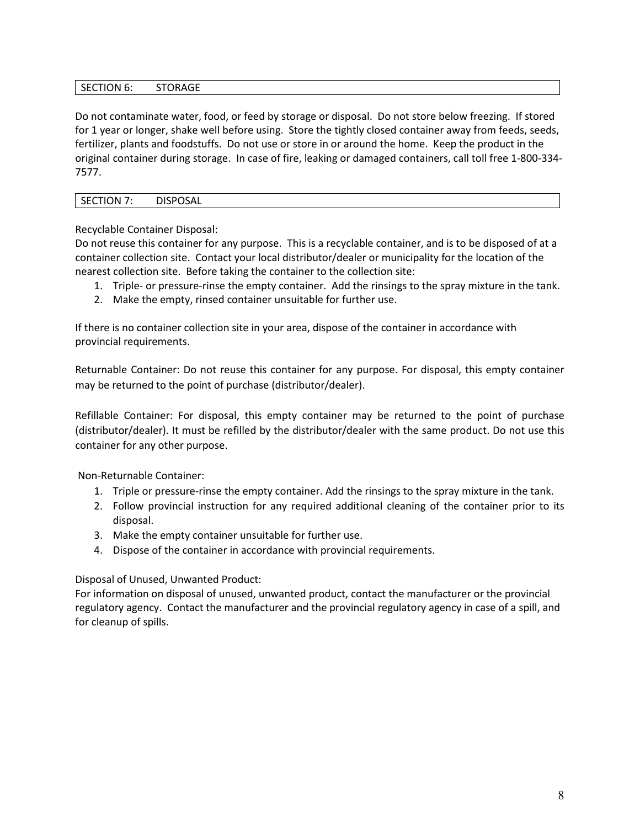## SECTION 6: STORAGE

Do not contaminate water, food, or feed by storage or disposal. Do not store below freezing. If stored for 1 year or longer, shake well before using. Store the tightly closed container away from feeds, seeds, fertilizer, plants and foodstuffs. Do not use or store in or around the home. Keep the product in the original container during storage. In case of fire, leaking or damaged containers, call toll free 1-800-334- 7577.

## SECTION 7: DISPOSAL

Recyclable Container Disposal:

Do not reuse this container for any purpose. This is a recyclable container, and is to be disposed of at a container collection site. Contact your local distributor/dealer or municipality for the location of the nearest collection site. Before taking the container to the collection site:

- 1. Triple- or pressure-rinse the empty container. Add the rinsings to the spray mixture in the tank.
- 2. Make the empty, rinsed container unsuitable for further use.

If there is no container collection site in your area, dispose of the container in accordance with provincial requirements.

Returnable Container: Do not reuse this container for any purpose. For disposal, this empty container may be returned to the point of purchase (distributor/dealer).

Refillable Container: For disposal, this empty container may be returned to the point of purchase (distributor/dealer). It must be refilled by the distributor/dealer with the same product. Do not use this container for any other purpose.

Non-Returnable Container:

- 1. Triple or pressure-rinse the empty container. Add the rinsings to the spray mixture in the tank.
- 2. Follow provincial instruction for any required additional cleaning of the container prior to its disposal.
- 3. Make the empty container unsuitable for further use.
- 4. Dispose of the container in accordance with provincial requirements.

## Disposal of Unused, Unwanted Product:

For information on disposal of unused, unwanted product, contact the manufacturer or the provincial regulatory agency. Contact the manufacturer and the provincial regulatory agency in case of a spill, and for cleanup of spills.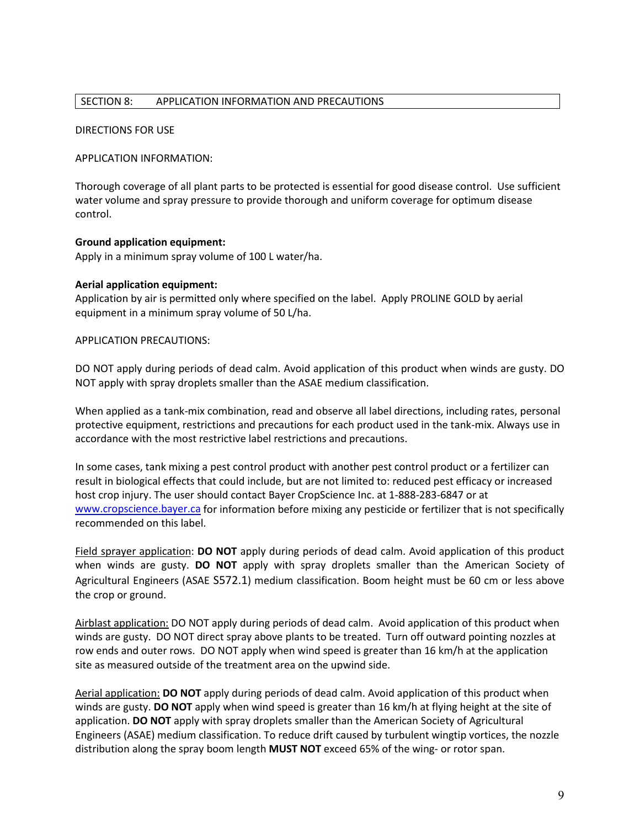## SECTION 8: APPLICATION INFORMATION AND PRECAUTIONS

## DIRECTIONS FOR USE

## APPLICATION INFORMATION:

Thorough coverage of all plant parts to be protected is essential for good disease control. Use sufficient water volume and spray pressure to provide thorough and uniform coverage for optimum disease control.

## **Ground application equipment:**

Apply in a minimum spray volume of 100 L water/ha.

## **Aerial application equipment:**

Application by air is permitted only where specified on the label. Apply PROLINE GOLD by aerial equipment in a minimum spray volume of 50 L/ha.

## APPLICATION PRECAUTIONS:

DO NOT apply during periods of dead calm. Avoid application of this product when winds are gusty. DO NOT apply with spray droplets smaller than the ASAE medium classification.

When applied as a tank-mix combination, read and observe all label directions, including rates, personal protective equipment, restrictions and precautions for each product used in the tank-mix. Always use in accordance with the most restrictive label restrictions and precautions.

In some cases, tank mixing a pest control product with another pest control product or a fertilizer can result in biological effects that could include, but are not limited to: reduced pest efficacy or increased host crop injury. The user should contact Bayer CropScience Inc. at 1-888-283-6847 or at www.cropscience.bayer.ca for information before mixing any pesticide or fertilizer that is not specifically recommended on this label.

Field sprayer application: **DO NOT** apply during periods of dead calm. Avoid application of this product when winds are gusty. **DO NOT** apply with spray droplets smaller than the American Society of Agricultural Engineers (ASAE S572.1) medium classification. Boom height must be 60 cm or less above the crop or ground.

Airblast application: DO NOT apply during periods of dead calm. Avoid application of this product when winds are gusty. DO NOT direct spray above plants to be treated. Turn off outward pointing nozzles at row ends and outer rows. DO NOT apply when wind speed is greater than 16 km/h at the application site as measured outside of the treatment area on the upwind side.

Aerial application: **DO NOT** apply during periods of dead calm. Avoid application of this product when winds are gusty. **DO NOT** apply when wind speed is greater than 16 km/h at flying height at the site of application. **DO NOT** apply with spray droplets smaller than the American Society of Agricultural Engineers (ASAE) medium classification. To reduce drift caused by turbulent wingtip vortices, the nozzle distribution along the spray boom length **MUST NOT** exceed 65% of the wing- or rotor span.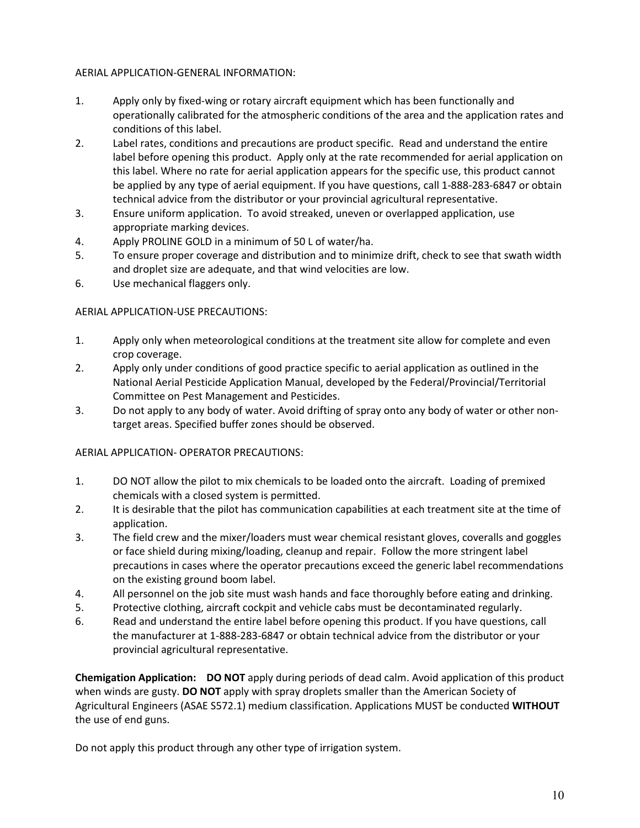## AERIAL APPLICATION-GENERAL INFORMATION:

- 1. Apply only by fixed-wing or rotary aircraft equipment which has been functionally and operationally calibrated for the atmospheric conditions of the area and the application rates and conditions of this label.
- 2. Label rates, conditions and precautions are product specific. Read and understand the entire label before opening this product. Apply only at the rate recommended for aerial application on this label. Where no rate for aerial application appears for the specific use, this product cannot be applied by any type of aerial equipment. If you have questions, call 1-888-283-6847 or obtain technical advice from the distributor or your provincial agricultural representative.
- 3. Ensure uniform application. To avoid streaked, uneven or overlapped application, use appropriate marking devices.
- 4. Apply PROLINE GOLD in a minimum of 50 L of water/ha.
- 5. To ensure proper coverage and distribution and to minimize drift, check to see that swath width and droplet size are adequate, and that wind velocities are low.
- 6. Use mechanical flaggers only.

## AERIAL APPLICATION-USE PRECAUTIONS:

- 1. Apply only when meteorological conditions at the treatment site allow for complete and even crop coverage.
- 2. Apply only under conditions of good practice specific to aerial application as outlined in the National Aerial Pesticide Application Manual, developed by the Federal/Provincial/Territorial Committee on Pest Management and Pesticides.
- 3. Do not apply to any body of water. Avoid drifting of spray onto any body of water or other nontarget areas. Specified buffer zones should be observed.

## AERIAL APPLICATION- OPERATOR PRECAUTIONS:

- 1. DO NOT allow the pilot to mix chemicals to be loaded onto the aircraft. Loading of premixed chemicals with a closed system is permitted.
- 2. It is desirable that the pilot has communication capabilities at each treatment site at the time of application.
- 3. The field crew and the mixer/loaders must wear chemical resistant gloves, coveralls and goggles or face shield during mixing/loading, cleanup and repair. Follow the more stringent label precautions in cases where the operator precautions exceed the generic label recommendations on the existing ground boom label.
- 4. All personnel on the job site must wash hands and face thoroughly before eating and drinking.
- 5. Protective clothing, aircraft cockpit and vehicle cabs must be decontaminated regularly.
- 6. Read and understand the entire label before opening this product. If you have questions, call the manufacturer at 1-888-283-6847 or obtain technical advice from the distributor or your provincial agricultural representative.

**Chemigation Application: DO NOT** apply during periods of dead calm. Avoid application of this product when winds are gusty. **DO NOT** apply with spray droplets smaller than the American Society of Agricultural Engineers (ASAE S572.1) medium classification. Applications MUST be conducted **WITHOUT** the use of end guns.

Do not apply this product through any other type of irrigation system.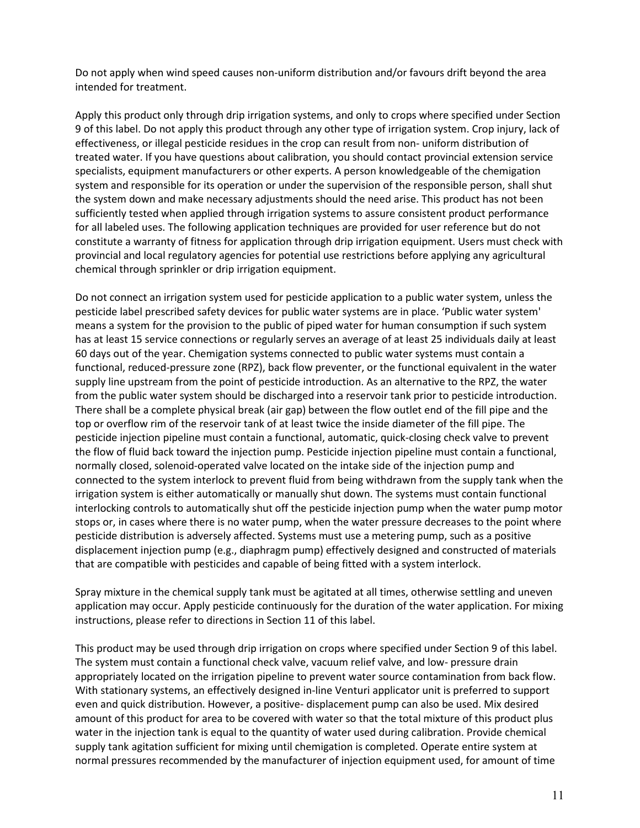Do not apply when wind speed causes non-uniform distribution and/or favours drift beyond the area intended for treatment.

Apply this product only through drip irrigation systems, and only to crops where specified under Section 9 of this label. Do not apply this product through any other type of irrigation system. Crop injury, lack of effectiveness, or illegal pesticide residues in the crop can result from non- uniform distribution of treated water. If you have questions about calibration, you should contact provincial extension service specialists, equipment manufacturers or other experts. A person knowledgeable of the chemigation system and responsible for its operation or under the supervision of the responsible person, shall shut the system down and make necessary adjustments should the need arise. This product has not been sufficiently tested when applied through irrigation systems to assure consistent product performance for all labeled uses. The following application techniques are provided for user reference but do not constitute a warranty of fitness for application through drip irrigation equipment. Users must check with provincial and local regulatory agencies for potential use restrictions before applying any agricultural chemical through sprinkler or drip irrigation equipment.

Do not connect an irrigation system used for pesticide application to a public water system, unless the pesticide label prescribed safety devices for public water systems are in place. 'Public water system' means a system for the provision to the public of piped water for human consumption if such system has at least 15 service connections or regularly serves an average of at least 25 individuals daily at least 60 days out of the year. Chemigation systems connected to public water systems must contain a functional, reduced-pressure zone (RPZ), back flow preventer, or the functional equivalent in the water supply line upstream from the point of pesticide introduction. As an alternative to the RPZ, the water from the public water system should be discharged into a reservoir tank prior to pesticide introduction. There shall be a complete physical break (air gap) between the flow outlet end of the fill pipe and the top or overflow rim of the reservoir tank of at least twice the inside diameter of the fill pipe. The pesticide injection pipeline must contain a functional, automatic, quick-closing check valve to prevent the flow of fluid back toward the injection pump. Pesticide injection pipeline must contain a functional, normally closed, solenoid-operated valve located on the intake side of the injection pump and connected to the system interlock to prevent fluid from being withdrawn from the supply tank when the irrigation system is either automatically or manually shut down. The systems must contain functional interlocking controls to automatically shut off the pesticide injection pump when the water pump motor stops or, in cases where there is no water pump, when the water pressure decreases to the point where pesticide distribution is adversely affected. Systems must use a metering pump, such as a positive displacement injection pump (e.g., diaphragm pump) effectively designed and constructed of materials that are compatible with pesticides and capable of being fitted with a system interlock.

Spray mixture in the chemical supply tank must be agitated at all times, otherwise settling and uneven application may occur. Apply pesticide continuously for the duration of the water application. For mixing instructions, please refer to directions in Section 11 of this label.

This product may be used through drip irrigation on crops where specified under Section 9 of this label. The system must contain a functional check valve, vacuum relief valve, and low- pressure drain appropriately located on the irrigation pipeline to prevent water source contamination from back flow. With stationary systems, an effectively designed in-line Venturi applicator unit is preferred to support even and quick distribution. However, a positive- displacement pump can also be used. Mix desired amount of this product for area to be covered with water so that the total mixture of this product plus water in the injection tank is equal to the quantity of water used during calibration. Provide chemical supply tank agitation sufficient for mixing until chemigation is completed. Operate entire system at normal pressures recommended by the manufacturer of injection equipment used, for amount of time from back flow. With stationary systems, an effectively designed in‐line Venturi applicator unit is preferred to support even and quick the manufacturer of independent induction, a positive during calibration and be doed. This desired rionnal pressures recommi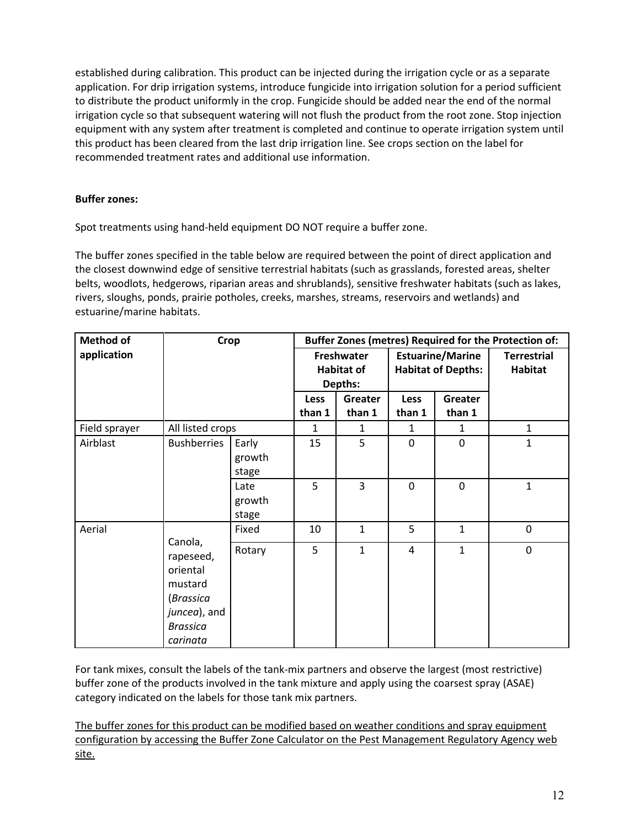established during calibration. This product can be injected during the irrigation cycle or as a separate application. For drip irrigation systems, introduce fungicide into irrigation solution for a period sufficient to distribute the product uniformly in the crop. Fungicide should be added near the end of the normal irrigation cycle so that subsequent watering will not flush the product from the root zone. Stop injection equipment with any system after treatment is completed and continue to operate irrigation system until this product has been cleared from the last drip irrigation line. See crops section on the label for recommended treatment rates and additional use information.

## **Buffer zones:**

Spot treatments using hand-held equipment DO NOT require a buffer zone.

The buffer zones specified in the table below are required between the point of direct application and the closest downwind edge of sensitive terrestrial habitats (such as grasslands, forested areas, shelter belts, woodlots, hedgerows, riparian areas and shrublands), sensitive freshwater habitats (such as lakes, rivers, sloughs, ponds, prairie potholes, creeks, marshes, streams, reservoirs and wetlands) and estuarine/marine habitats.

| <b>Method of</b>                           | <b>Crop</b>        |        | Buffer Zones (metres) Required for the Protection of: |                              |                         |                           |                    |
|--------------------------------------------|--------------------|--------|-------------------------------------------------------|------------------------------|-------------------------|---------------------------|--------------------|
| application                                |                    |        | Freshwater                                            |                              | <b>Estuarine/Marine</b> |                           | <b>Terrestrial</b> |
|                                            |                    |        |                                                       | <b>Habitat of</b><br>Depths: |                         | <b>Habitat of Depths:</b> | <b>Habitat</b>     |
|                                            |                    |        |                                                       |                              |                         |                           |                    |
|                                            |                    |        | <b>Less</b>                                           | Greater                      | <b>Less</b>             | Greater                   |                    |
|                                            |                    |        | than 1                                                | than 1                       | than 1                  | than 1                    |                    |
| Field sprayer                              | All listed crops   |        | 1                                                     | 1                            | 1                       | 1                         | $\mathbf{1}$       |
| Airblast                                   | <b>Bushberries</b> | Early  | 15                                                    | 5                            | $\mathbf{0}$            | 0                         | $\mathbf{1}$       |
|                                            |                    | growth |                                                       |                              |                         |                           |                    |
|                                            |                    | stage  |                                                       |                              |                         |                           |                    |
|                                            |                    | Late   | 5                                                     | 3                            | 0                       | 0                         | $\mathbf{1}$       |
|                                            |                    | growth |                                                       |                              |                         |                           |                    |
|                                            |                    | stage  |                                                       |                              |                         |                           |                    |
| Aerial<br>Canola,<br>rapeseed,<br>oriental |                    | Fixed  | 10                                                    | $\mathbf{1}$                 | 5                       | $\mathbf{1}$              | $\mathbf 0$        |
|                                            |                    | Rotary | 5                                                     | $\mathbf{1}$                 | 4                       | $\mathbf{1}$              | $\mathbf 0$        |
|                                            |                    |        |                                                       |                              |                         |                           |                    |
|                                            | mustard            |        |                                                       |                              |                         |                           |                    |
|                                            | (Brassica          |        |                                                       |                              |                         |                           |                    |
|                                            | juncea), and       |        |                                                       |                              |                         |                           |                    |
|                                            | <b>Brassica</b>    |        |                                                       |                              |                         |                           |                    |
|                                            | carinata           |        |                                                       |                              |                         |                           |                    |

For tank mixes, consult the labels of the tank-mix partners and observe the largest (most restrictive) buffer zone of the products involved in the tank mixture and apply using the coarsest spray (ASAE) category indicated on the labels for those tank mix partners.

The buffer zones for this product can be modified based on weather conditions and spray equipment configuration by accessing the Buffer Zone Calculator on the Pest Management Regulatory Agency web site.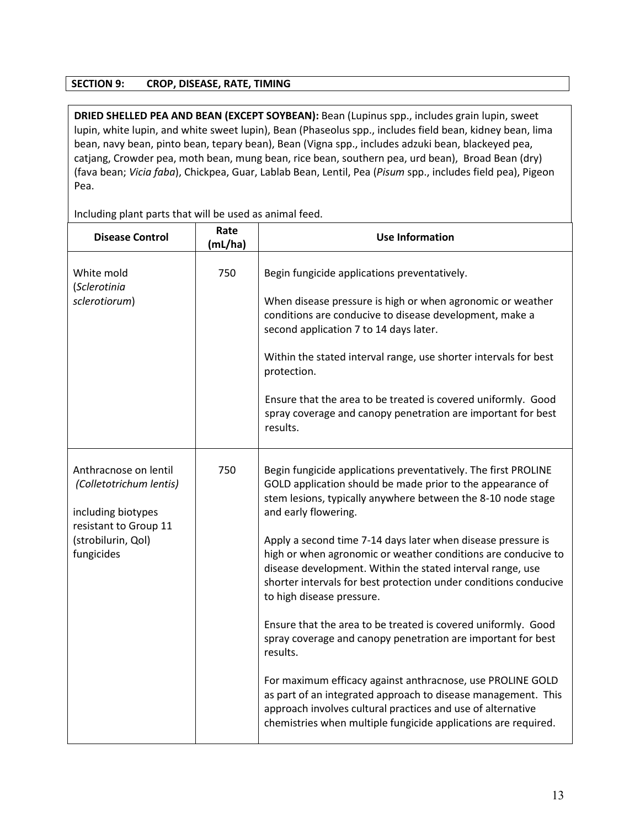## **SECTION 9: CROP, DISEASE, RATE, TIMING**

**DRIED SHELLED PEA AND BEAN (EXCEPT SOYBEAN):** Bean (Lupinus spp., includes grain lupin, sweet  $\vert$  lupin, white lupin, and white sweet lupin), Bean (Phaseolus spp., includes field bean, kidney bean, lima  $\vert$  bean, navy bean, pinto bean, tepary bean), Bean (Vigna spp., includes adzuki bean, blackeyed pea,  $\vert$ | catjang, Crowder pea, moth bean, mung bean, rice bean, southern pea, urd bean), Broad Bean (dry) (fava bean; *Vicia faba*), Chickpea, Guar, Lablab Bean, Lentil, Pea (*Pisum* spp., includes field pea), Pigeon Pea. DRIED SHELLED PEA AND BEAN (EXCEPT SOYBEAN): Bean (Lupinus spp., includes grain lupin, sweet lupin, white lupin,

| <b>Disease Control</b>                                                                                                              | Rate<br>(mL/ha) | <b>Use Information</b>                                                                                                                                                                                                                                                                                                                                                                                                                                                                                                                                                                                                                                                                                                                                                                                                                                                                                                            |
|-------------------------------------------------------------------------------------------------------------------------------------|-----------------|-----------------------------------------------------------------------------------------------------------------------------------------------------------------------------------------------------------------------------------------------------------------------------------------------------------------------------------------------------------------------------------------------------------------------------------------------------------------------------------------------------------------------------------------------------------------------------------------------------------------------------------------------------------------------------------------------------------------------------------------------------------------------------------------------------------------------------------------------------------------------------------------------------------------------------------|
| White mold<br>(Sclerotinia<br>sclerotiorum)                                                                                         | 750             | Begin fungicide applications preventatively.<br>When disease pressure is high or when agronomic or weather<br>conditions are conducive to disease development, make a<br>second application 7 to 14 days later.<br>Within the stated interval range, use shorter intervals for best<br>protection.<br>Ensure that the area to be treated is covered uniformly. Good<br>spray coverage and canopy penetration are important for best<br>results.                                                                                                                                                                                                                                                                                                                                                                                                                                                                                   |
| Anthracnose on lentil<br>(Colletotrichum lentis)<br>including biotypes<br>resistant to Group 11<br>(strobilurin, Qol)<br>fungicides | 750             | Begin fungicide applications preventatively. The first PROLINE<br>GOLD application should be made prior to the appearance of<br>stem lesions, typically anywhere between the 8-10 node stage<br>and early flowering.<br>Apply a second time 7-14 days later when disease pressure is<br>high or when agronomic or weather conditions are conducive to<br>disease development. Within the stated interval range, use<br>shorter intervals for best protection under conditions conducive<br>to high disease pressure.<br>Ensure that the area to be treated is covered uniformly. Good<br>spray coverage and canopy penetration are important for best<br>results.<br>For maximum efficacy against anthracnose, use PROLINE GOLD<br>as part of an integrated approach to disease management. This<br>approach involves cultural practices and use of alternative<br>chemistries when multiple fungicide applications are required. |

Including plant parts that will be used as animal feed.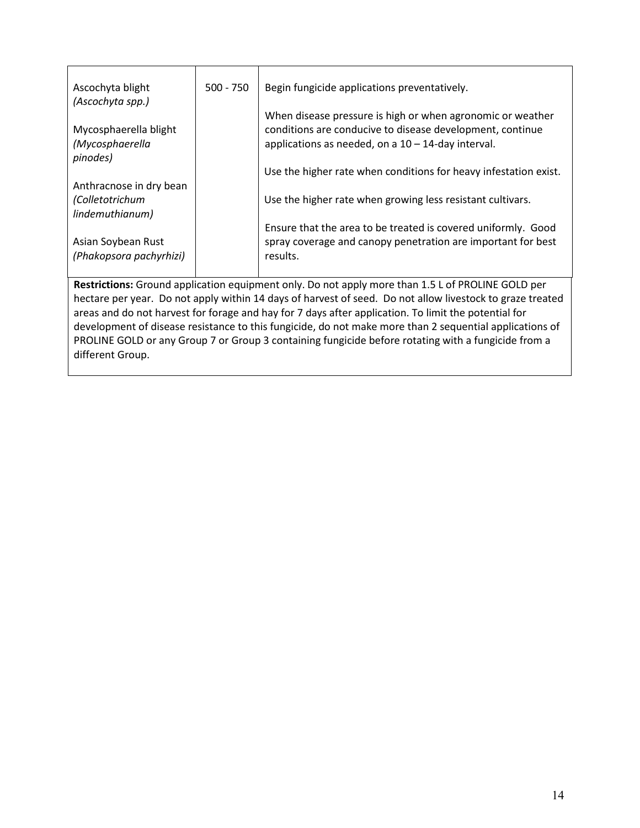| Ascochyta blight<br>(Ascochyta spp.) | $500 - 750$ | Begin fungicide applications preventatively.                     |
|--------------------------------------|-------------|------------------------------------------------------------------|
|                                      |             | When disease pressure is high or when agronomic or weather       |
| Mycosphaerella blight                |             | conditions are conducive to disease development, continue        |
|                                      |             |                                                                  |
| (Mycosphaerella                      |             | applications as needed, on a $10 - 14$ -day interval.            |
| pinodes)                             |             |                                                                  |
|                                      |             | Use the higher rate when conditions for heavy infestation exist. |
| Anthracnose in dry bean              |             |                                                                  |
| (Colletotrichum                      |             | Use the higher rate when growing less resistant cultivars.       |
| lindemuthianum)                      |             |                                                                  |
|                                      |             | Ensure that the area to be treated is covered uniformly. Good    |
|                                      |             |                                                                  |
| Asian Soybean Rust                   |             | spray coverage and canopy penetration are important for best     |
| (Phakopsora pachyrhizi)              |             | results.                                                         |

hectare per year. Do not apply within 14 days of harvest of seed. Do not allow livestock to graze treated areas and do not harvest for forage and hay for 7 days after application. To limit the potential for development of disease resistance to this fungicide, do not make more than 2 sequential applications of PROLINE GOLD or any Group 7 or Group 3 containing fungicide before rotating with a fungicide from a different Group.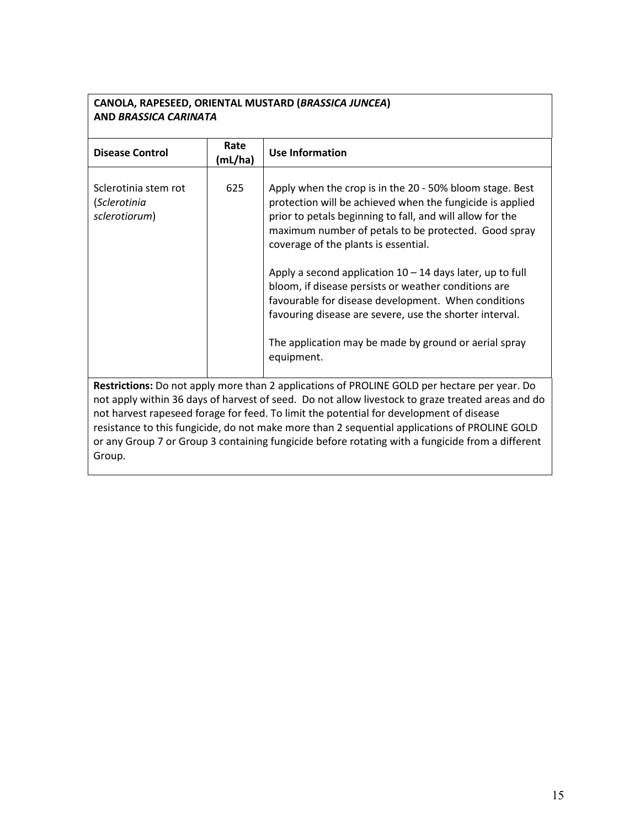# **CANOLA, RAPESEED, ORIENTAL MUSTARD (***BRASSICA JUNCEA***) AND** *BRASSICA CARINATA*

| <b>Disease Control</b>                                                                                                                                                                                                                                                                                                                                                                                                                                                                                      | Rate<br>(mL/ha) | <b>Use Information</b>                                                                                                                                                                                                                                                             |  |
|-------------------------------------------------------------------------------------------------------------------------------------------------------------------------------------------------------------------------------------------------------------------------------------------------------------------------------------------------------------------------------------------------------------------------------------------------------------------------------------------------------------|-----------------|------------------------------------------------------------------------------------------------------------------------------------------------------------------------------------------------------------------------------------------------------------------------------------|--|
| Sclerotinia stem rot<br>(Sclerotinia<br>sclerotiorum)                                                                                                                                                                                                                                                                                                                                                                                                                                                       | 625             | Apply when the crop is in the 20 - 50% bloom stage. Best<br>protection will be achieved when the fungicide is applied<br>prior to petals beginning to fall, and will allow for the<br>maximum number of petals to be protected. Good spray<br>coverage of the plants is essential. |  |
|                                                                                                                                                                                                                                                                                                                                                                                                                                                                                                             |                 | Apply a second application $10 - 14$ days later, up to full<br>bloom, if disease persists or weather conditions are<br>favourable for disease development. When conditions<br>favouring disease are severe, use the shorter interval.                                              |  |
|                                                                                                                                                                                                                                                                                                                                                                                                                                                                                                             |                 | The application may be made by ground or aerial spray<br>equipment.                                                                                                                                                                                                                |  |
| Restrictions: Do not apply more than 2 applications of PROLINE GOLD per hectare per year. Do<br>not apply within 36 days of harvest of seed. Do not allow livestock to graze treated areas and do<br>not harvest rapeseed forage for feed. To limit the potential for development of disease<br>resistance to this fungicide, do not make more than 2 sequential applications of PROLINE GOLD<br>or any Group 7 or Group 3 containing fungicide before rotating with a fungicide from a different<br>Group. |                 |                                                                                                                                                                                                                                                                                    |  |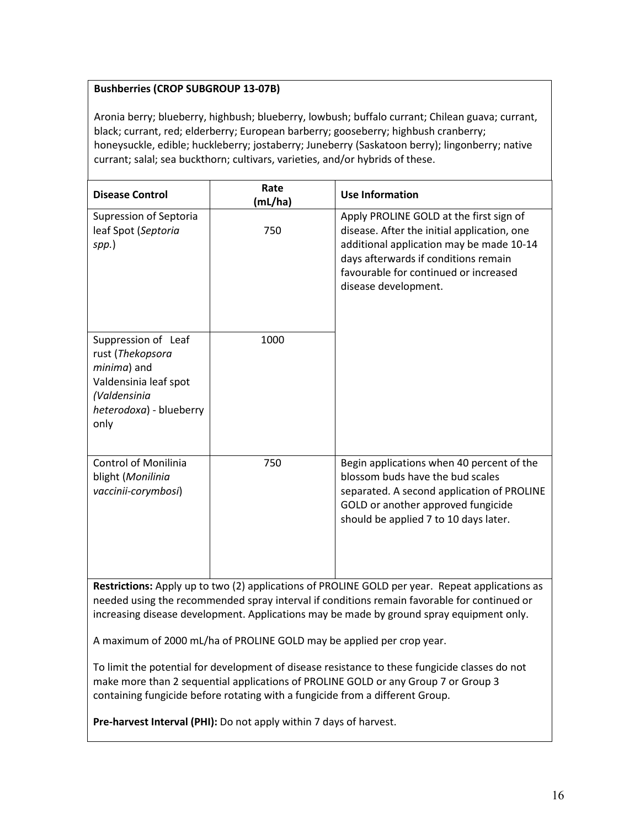# **Bushberries (CROP SUBGROUP 13-07B)** and a berry; blue berry; blueberry, lowelistic current; buffalo current; buffalo currant; buffalo currant; buffalo currant; buffalo currant; buffalo currant; buffalo currant; buffalo cu

Aronia berry; blueberry, highbush; blueberry, lowbush; buffalo currant; Chilean guava; currant, honeysuckle, edible; huckleberry; jostaberry; Juneberry (Saskatoon berry); lingonberry; native currant; salal;  $\vert$  black; currant, red; elderberry; European barberry; gooseberry; highbush cranberry; honeysuckle, edible; huckleberry; jostaberry; Juneberry (Saskatoon berry); lingonberry; native currant; salal; sea buckthorn; cultivars, varieties, and/or hybrids of these.

Chilean guava; currant, black; currant, red; elderberry; European barberry; gooseberry; highbush cranberry;

| <b>Disease Control</b>                                                                                                             | Rate<br>(mL/ha) | <b>Use Information</b>                                                                                                                                                                                                                      |
|------------------------------------------------------------------------------------------------------------------------------------|-----------------|---------------------------------------------------------------------------------------------------------------------------------------------------------------------------------------------------------------------------------------------|
| Supression of Septoria<br>leaf Spot (Septoria<br>spp.)                                                                             | 750             | Apply PROLINE GOLD at the first sign of<br>disease. After the initial application, one<br>additional application may be made 10-14<br>days afterwards if conditions remain<br>favourable for continued or increased<br>disease development. |
| Suppression of Leaf<br>rust (Thekopsora<br>minima) and<br>Valdensinia leaf spot<br>(Valdensinia<br>heterodoxa) - blueberry<br>only | 1000            |                                                                                                                                                                                                                                             |
| <b>Control of Monilinia</b><br>blight (Monilinia<br>vaccinii-corymbosi)                                                            | 750             | Begin applications when 40 percent of the<br>blossom buds have the bud scales<br>separated. A second application of PROLINE<br>GOLD or another approved fungicide<br>should be applied 7 to 10 days later.                                  |

**Restrictions:** Apply up to two (2) applications of PROLINE GOLD per year. Repeat applications as  $\vert$ needed using the recommended spray interval if conditions remain favorable for continued or  $\Box$ increasing disease development. Applications may be made by ground spray equipment only.

be applied per crop year. <p>To limit the potential for development of disease resistance to these fungicide classes

A maximum of 2000 mL/ha of PROLINE GOLD may be applied per crop year.

To limit the potential for development of disease resistance to these fungicide classes do not make more than 2 sequential applications of PROLINE GOLD or any Group 7 or Group 3 containing fungicide before rotating with a fungicide from a different Group.

**Pre-harvest Interval (PHI):** Do not apply within 7 days of harvest.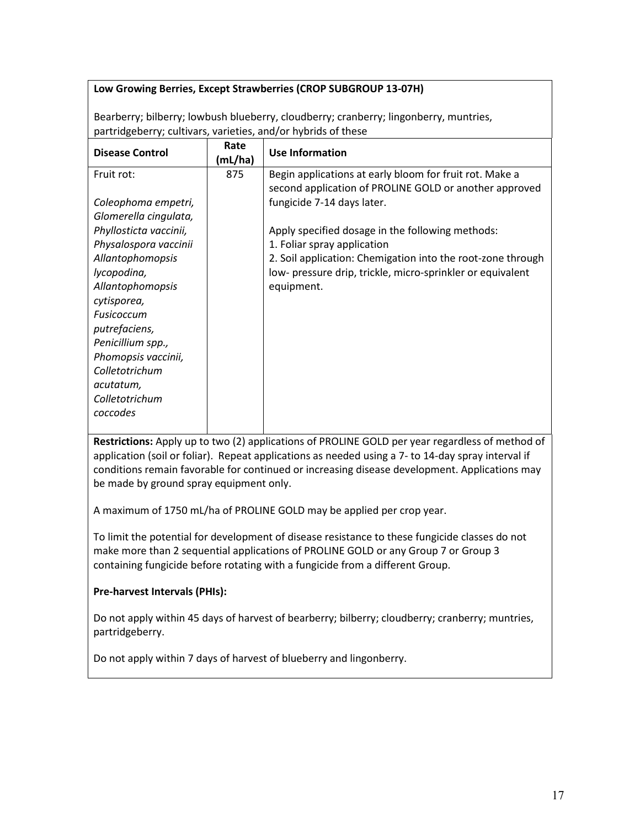## Low Growing Berries, Except Strawberries (CROP SUBGROUP 13-07H) **Film blue blueberry; etc.**

Bearberry; bilberry; lowbush blueberry, cloudberry; cranberry; lingonberry, muntries, partridgeberry; cultivars, varieties, and/or hybrids of these

| <b>Disease Control</b> | Rate<br>(mL/ha) | <b>Use Information</b>                                      |
|------------------------|-----------------|-------------------------------------------------------------|
| Fruit rot:             | 875             | Begin applications at early bloom for fruit rot. Make a     |
|                        |                 | second application of PROLINE GOLD or another approved      |
| Coleophoma empetri,    |                 | fungicide 7-14 days later.                                  |
| Glomerella cingulata,  |                 |                                                             |
| Phyllosticta vaccinii, |                 | Apply specified dosage in the following methods:            |
| Physalospora vaccinii  |                 | 1. Foliar spray application                                 |
| Allantophomopsis       |                 | 2. Soil application: Chemigation into the root-zone through |
| lycopodina,            |                 | low- pressure drip, trickle, micro-sprinkler or equivalent  |
| Allantophomopsis       |                 | equipment.                                                  |
| cytisporea,            |                 |                                                             |
| Fusicoccum             |                 |                                                             |
| putrefaciens,          |                 |                                                             |
| Penicillium spp.,      |                 |                                                             |
| Phomopsis vaccinii,    |                 |                                                             |
| Colletotrichum         |                 |                                                             |
| acutatum,              |                 |                                                             |
| Colletotrichum         |                 |                                                             |
| coccodes               |                 |                                                             |
|                        |                 |                                                             |

Restrictions: Apply up to two (2) applications of PROLINE GOLD per year regardless of method of application (soil or foliar). Repeat applications as needed using a 7- to 14-day spray interval if conditions remain favorable for continued or increasing disease development. Applications may be made by ground spray equipment only.  $\frac{1}{\sqrt{100}}$  maximum of  $\frac{1}{\sqrt{100}}$  music the potential for development of the potential for development of  $\frac{1}{\sqrt{100}}$ 

A maximum of 1750 mL/ha of PROLINE GOLD may be applied per crop year. Prindamian of 2750 may have the about the document we applied between year.

To limit the potential for development of disease resistance to these fungicide classes do not make more than 2 sequential applications of PROLINE GOLD or any Group 7 or Group 3 containing fungicide before rotating with a fungicide from a different Group.

## **Pre-harvest Intervals (PHIs):**

Do not apply within 45 days of harvest of bearberry; bilberry; cloudberry; cranberry; muntries, partridgeberry.

Do not apply within 7 days of harvest of blueberry and lingonberry.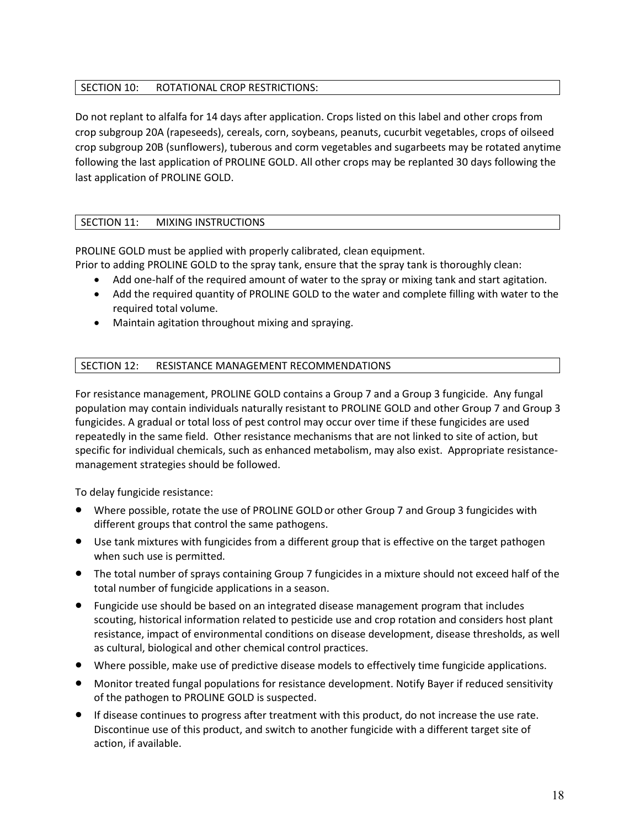## SECTION 10: ROTATIONAL CROP RESTRICTIONS:

Do not replant to alfalfa for 14 days after application. Crops listed on this label and other crops from crop subgroup 20A (rapeseeds), cereals, corn, soybeans, peanuts, cucurbit vegetables, crops of oilseed crop subgroup 20B (sunflowers), tuberous and corm vegetables and sugarbeets may be rotated anytime following the last application of PROLINE GOLD. All other crops may be replanted 30 days following the last application of PROLINE GOLD.

## SECTION 11: MIXING INSTRUCTIONS

PROLINE GOLD must be applied with properly calibrated, clean equipment.

Prior to adding PROLINE GOLD to the spray tank, ensure that the spray tank is thoroughly clean:

- Add one-half of the required amount of water to the spray or mixing tank and start agitation.
- Add the required quantity of PROLINE GOLD to the water and complete filling with water to the required total volume.
- Maintain agitation throughout mixing and spraying.

## SECTION 12: RESISTANCE MANAGEMENT RECOMMENDATIONS

For resistance management, PROLINE GOLD contains a Group 7 and a Group 3 fungicide. Any fungal population may contain individuals naturally resistant to PROLINE GOLD and other Group 7 and Group 3 fungicides. A gradual or total loss of pest control may occur over time if these fungicides are used repeatedly in the same field. Other resistance mechanisms that are not linked to site of action, but specific for individual chemicals, such as enhanced metabolism, may also exist. Appropriate resistancemanagement strategies should be followed.

To delay fungicide resistance:

- Where possible, rotate the use of PROLINE GOLDor other Group 7 and Group 3 fungicides with different groups that control the same pathogens.
- Use tank mixtures with fungicides from a different group that is effective on the target pathogen when such use is permitted.
- The total number of sprays containing Group 7 fungicides in a mixture should not exceed half of the total number of fungicide applications in a season.
- Fungicide use should be based on an integrated disease management program that includes scouting, historical information related to pesticide use and crop rotation and considers host plant resistance, impact of environmental conditions on disease development, disease thresholds, as well as cultural, biological and other chemical control practices.
- Where possible, make use of predictive disease models to effectively time fungicide applications.
- Monitor treated fungal populations for resistance development. Notify Bayer if reduced sensitivity of the pathogen to PROLINE GOLD is suspected.
- If disease continues to progress after treatment with this product, do not increase the use rate. Discontinue use of this product, and switch to another fungicide with a different target site of action, if available.